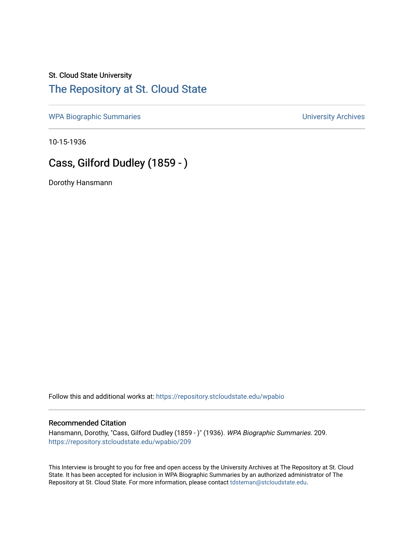### St. Cloud State University [The Repository at St. Cloud State](https://repository.stcloudstate.edu/)

[WPA Biographic Summaries](https://repository.stcloudstate.edu/wpabio) **WPA Biographic Summaries University Archives** 

10-15-1936

# Cass, Gilford Dudley (1859 - )

Dorothy Hansmann

Follow this and additional works at: [https://repository.stcloudstate.edu/wpabio](https://repository.stcloudstate.edu/wpabio?utm_source=repository.stcloudstate.edu%2Fwpabio%2F209&utm_medium=PDF&utm_campaign=PDFCoverPages) 

#### Recommended Citation

Hansmann, Dorothy, "Cass, Gilford Dudley (1859 - )" (1936). WPA Biographic Summaries. 209. [https://repository.stcloudstate.edu/wpabio/209](https://repository.stcloudstate.edu/wpabio/209?utm_source=repository.stcloudstate.edu%2Fwpabio%2F209&utm_medium=PDF&utm_campaign=PDFCoverPages) 

This Interview is brought to you for free and open access by the University Archives at The Repository at St. Cloud State. It has been accepted for inclusion in WPA Biographic Summaries by an authorized administrator of The Repository at St. Cloud State. For more information, please contact [tdsteman@stcloudstate.edu.](mailto:tdsteman@stcloudstate.edu)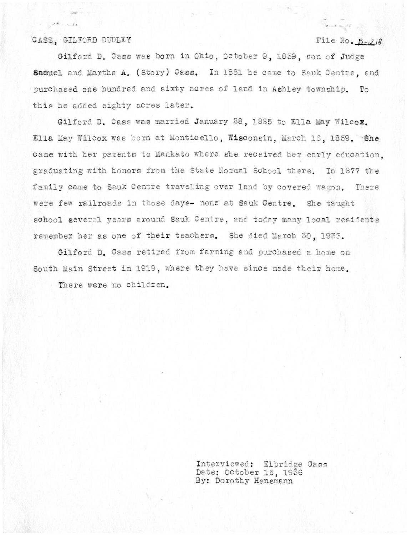#### CASS. GILFORD DUDLEY

 $34.12.0$ 

### File No.  $B-2/8$

Gilford D. Cass was born in Ohio, October 9, 1859, son of Judge Samuel and Martha A. (Story) Cass. In 1881 he came to Sauk Centre, and purchased one hundred and sixty acres of land in Ashley township. To this he added eighty acres later.

Gilford D. Cass was married January 28, 1885 to Ella May Wilcox. Ella May Wilcox was born at Monticello, Wisconsin, March 16, 1859. She came with her parents to Mankato where she received her early education. graduating with honors from the State Normal School there. In 1877 the family came to Sauk Centre traveling over land by covered wagon. There were few railroads in those days- none at Sauk Centre. She taught school several years around Sauk Centre, and today many local residents remember her as one of their teachers. She died March 30, 1933.

Gilford D. Cass retired from farming and purchased a home on South Main Street in 1919, where they have since made their home.

There were no children.

Interviewed: Elbridge Cass Date: October 15, 1936 By: Dorothy Hansmann